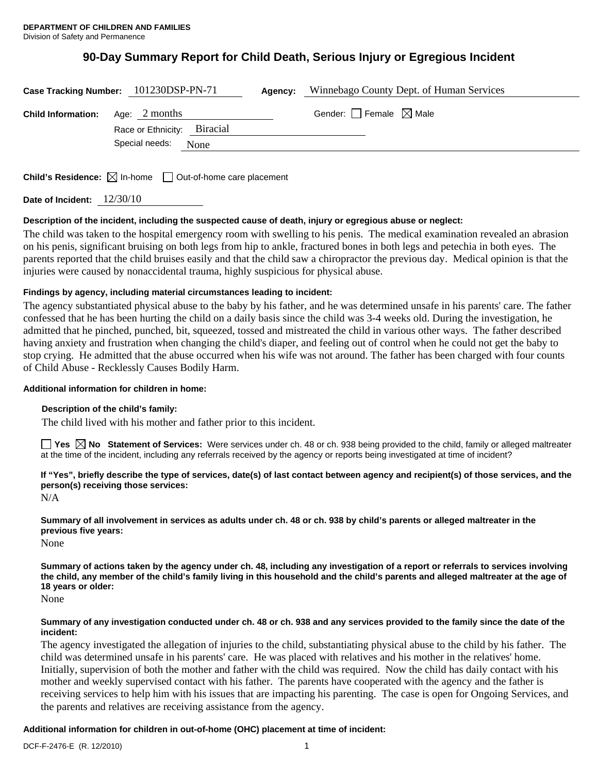# **90-Day Summary Report for Child Death, Serious Injury or Egregious Incident**

|                                         | Case Tracking Number: 101230DSP-PN-71 | Agency: | Winnebago County Dept. of Human Services |
|-----------------------------------------|---------------------------------------|---------|------------------------------------------|
| <b>Child Information:</b> Age: 2 months | Race or Ethnicity: Biracial           |         | Gender: Female $\boxtimes$ Male          |
|                                         | Special needs: None                   |         |                                          |
|                                         |                                       |         |                                          |

**Child's Residence:**  $\boxtimes$  In-home  $\Box$  Out-of-home care placement

**Date of Incident:** 12/30/10

# **Description of the incident, including the suspected cause of death, injury or egregious abuse or neglect:**

The child was taken to the hospital emergency room with swelling to his penis. The medical examination revealed an abrasion on his penis, significant bruising on both legs from hip to ankle, fractured bones in both legs and petechia in both eyes. The parents reported that the child bruises easily and that the child saw a chiropractor the previous day. Medical opinion is that the injuries were caused by nonaccidental trauma, highly suspicious for physical abuse.

# **Findings by agency, including material circumstances leading to incident:**

The agency substantiated physical abuse to the baby by his father, and he was determined unsafe in his parents' care. The father confessed that he has been hurting the child on a daily basis since the child was 3-4 weeks old. During the investigation, he admitted that he pinched, punched, bit, squeezed, tossed and mistreated the child in various other ways. The father described having anxiety and frustration when changing the child's diaper, and feeling out of control when he could not get the baby to stop crying. He admitted that the abuse occurred when his wife was not around. The father has been charged with four counts of Child Abuse - Recklessly Causes Bodily Harm.

# **Additional information for children in home:**

# **Description of the child's family:**

The child lived with his mother and father prior to this incident.

■ Yes △ No Statement of Services: Were services under ch. 48 or ch. 938 being provided to the child, family or alleged maltreater at the time of the incident, including any referrals received by the agency or reports being investigated at time of incident?

# **If "Yes", briefly describe the type of services, date(s) of last contact between agency and recipient(s) of those services, and the person(s) receiving those services:**

N/A

**Summary of all involvement in services as adults under ch. 48 or ch. 938 by child's parents or alleged maltreater in the previous five years:** 

None

**Summary of actions taken by the agency under ch. 48, including any investigation of a report or referrals to services involving the child, any member of the child's family living in this household and the child's parents and alleged maltreater at the age of 18 years or older:** 

None

### **Summary of any investigation conducted under ch. 48 or ch. 938 and any services provided to the family since the date of the incident:**

The agency investigated the allegation of injuries to the child, substantiating physical abuse to the child by his father. The child was determined unsafe in his parents' care. He was placed with relatives and his mother in the relatives' home. Initially, supervision of both the mother and father with the child was required. Now the child has daily contact with his mother and weekly supervised contact with his father. The parents have cooperated with the agency and the father is receiving services to help him with his issues that are impacting his parenting. The case is open for Ongoing Services, and the parents and relatives are receiving assistance from the agency.

# **Additional information for children in out-of-home (OHC) placement at time of incident:**